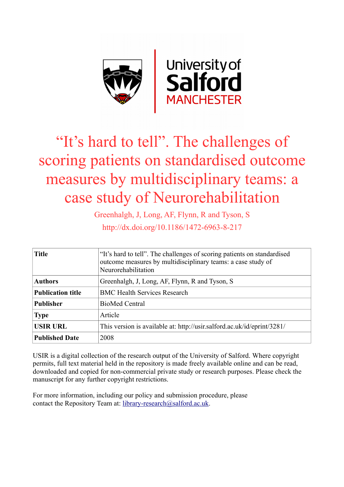

# "It's hard to tell". The challenges of scoring patients on standardised outcome measures by multidisciplinary teams: a case study of Neurorehabilitation

Greenhalgh, J, Long, AF, Flynn, R and Tyson, S http://dx.doi.org/10.1186/1472-6963-8-217

| <b>Title</b>             | "It's hard to tell". The challenges of scoring patients on standardised<br>outcome measures by multidisciplinary teams: a case study of<br>Neurorehabilitation |
|--------------------------|----------------------------------------------------------------------------------------------------------------------------------------------------------------|
| <b>Authors</b>           | Greenhalgh, J, Long, AF, Flynn, R and Tyson, S                                                                                                                 |
| <b>Publication title</b> | <b>BMC Health Services Research</b>                                                                                                                            |
| <b>Publisher</b>         | <b>BioMed Central</b>                                                                                                                                          |
| <b>Type</b>              | Article                                                                                                                                                        |
| <b>USIR URL</b>          | This version is available at: http://usir.salford.ac.uk/id/eprint/3281/                                                                                        |
| <b>Published Date</b>    | 2008                                                                                                                                                           |

USIR is a digital collection of the research output of the University of Salford. Where copyright permits, full text material held in the repository is made freely available online and can be read, downloaded and copied for non-commercial private study or research purposes. Please check the manuscript for any further copyright restrictions.

For more information, including our policy and submission procedure, please contact the Repository Team at: [library-research@salford.ac.uk.](mailto:library-research@salford.ac.uk)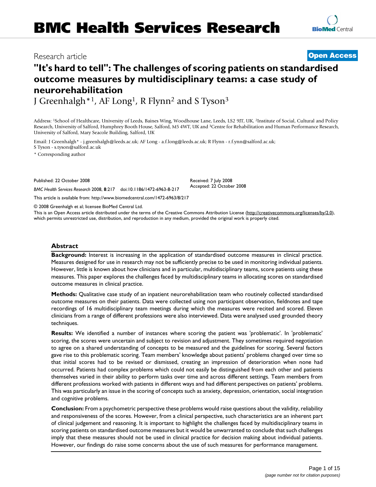### Research article **[Open Access](http://www.biomedcentral.com/info/about/charter/)**

## **"It's hard to tell": The challenges of scoring patients on standardised outcome measures by multidisciplinary teams: a case study of neurorehabilitation**

J Greenhalgh\*1, AF Long1, R Flynn2 and S Tyson3

Address: 1School of Healthcare, University of Leeds, Baines Wing, Woodhouse Lane, Leeds, LS2 9JT, UK, 2Institute of Social, Cultural and Policy Research, University of Salford, Humphrey Booth House, Salford, M5 4WT, UK and 3Centre for Rehabilitation and Human Performance Research, University of Salford, Mary Seacole Building, Salford, UK

Email: J Greenhalgh\* - j.greenhalgh@leeds.ac.uk; AF Long - a.f.long@leeds.ac.uk; R Flynn - r.f.ynn@salford.ac.uk; S Tyson - s.tyson@salford.ac.uk

\* Corresponding author

Published: 22 October 2008

*BMC Health Services Research* 2008, **8**:217 doi:10.1186/1472-6963-8-217

[This article is available from: http://www.biomedcentral.com/1472-6963/8/217](http://www.biomedcentral.com/1472-6963/8/217)

© 2008 Greenhalgh et al; licensee BioMed Central Ltd.

This is an Open Access article distributed under the terms of the Creative Commons Attribution License [\(http://creativecommons.org/licenses/by/2.0\)](http://creativecommons.org/licenses/by/2.0), which permits unrestricted use, distribution, and reproduction in any medium, provided the original work is properly cited.

Received: 7 July 2008 Accepted: 22 October 2008

#### **Abstract**

**Background:** Interest is increasing in the application of standardised outcome measures in clinical practice. Measures designed for use in research may not be sufficiently precise to be used in monitoring individual patients. However, little is known about how clinicians and in particular, multidisciplinary teams, score patients using these measures. This paper explores the challenges faced by multidisciplinary teams in allocating scores on standardised outcome measures in clinical practice.

**Methods:** Qualitative case study of an inpatient neurorehabilitation team who routinely collected standardised outcome measures on their patients. Data were collected using non participant observation, fieldnotes and tape recordings of 16 multidisciplinary team meetings during which the measures were recited and scored. Eleven clinicians from a range of different professions were also interviewed. Data were analysed used grounded theory techniques.

**Results:** We identified a number of instances where scoring the patient was 'problematic'. In 'problematic' scoring, the scores were uncertain and subject to revision and adjustment. They sometimes required negotiation to agree on a shared understanding of concepts to be measured and the guidelines for scoring. Several factors gave rise to this problematic scoring. Team members' knowledge about patients' problems changed over time so that initial scores had to be revised or dismissed, creating an impression of deterioration when none had occurred. Patients had complex problems which could not easily be distinguished from each other and patients themselves varied in their ability to perform tasks over time and across different settings. Team members from different professions worked with patients in different ways and had different perspectives on patients' problems. This was particularly an issue in the scoring of concepts such as anxiety, depression, orientation, social integration and cognitive problems.

**Conclusion:** From a psychometric perspective these problems would raise questions about the validity, reliability and responsiveness of the scores. However, from a clinical perspective, such characteristics are an inherent part of clinical judgement and reasoning. It is important to highlight the challenges faced by multidisciplinary teams in scoring patients on standardised outcome measures but it would be unwarranted to conclude that such challenges imply that these measures should not be used in clinical practice for decision making about individual patients. However, our findings do raise some concerns about the use of such measures for performance management.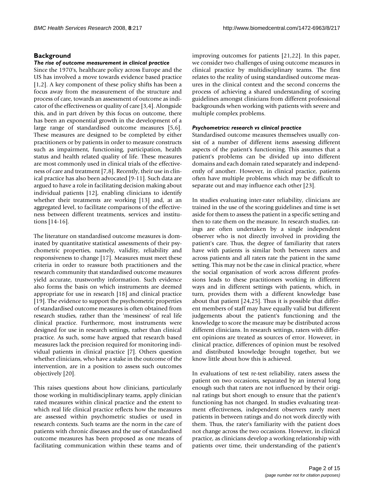#### **Background**

#### *The rise of outcome measurement in clinical practice*

Since the 1970's, healthcare policy across Europe and the US has involved a move towards evidence based practice [1,2]. A key component of these policy shifts has been a focus away from the measurement of the structure and process of care, towards an assessment of outcome as indicator of the effectiveness or quality of care [3,4]. Alongside this, and in part driven by this focus on outcome, there has been an exponential growth in the development of a large range of standardised outcome measures [5,6]. These measures are designed to be completed by either practitioners or by patients in order to measure constructs such as impairment, functioning, participation, health status and health related quality of life. These measures are most commonly used in clinical trials of the effectiveness of care and treatment [7,8]. Recently, their use in clinical practice has also been advocated [9-11]. Such data are argued to have a role in facilitating decision making about individual patients [12], enabling clinicians to identify whether their treatments are working [13] and, at an aggregated level, to facilitate comparisons of the effectiveness between different treatments, services and institutions [14-16].

The literature on standardised outcome measures is dominated by quantitative statistical assessments of their psychometric properties, namely, validity, reliability and responsiveness to change [17]. Measures must meet these criteria in order to reassure both practitioners and the research community that standardised outcome measures yield accurate, trustworthy information. Such evidence also forms the basis on which instruments are deemed appropriate for use in research [18] and clinical practice [19]. The evidence to support the psychometric properties of standardised outcome measures is often obtained from research studies, rather than the 'messiness' of real life clinical practice. Furthermore, most instruments were designed for use in research settings, rather than clinical practice. As such, some have argued that research based measures lack the precision required for monitoring individual patients in clinical practice [7]. Others question whether clinicians, who have a stake in the outcome of the intervention, are in a position to assess such outcomes objectively [20].

This raises questions about how clinicians, particularly those working in multidisciplinary teams, apply clinician rated measures within clinical practice and the extent to which real life clinical practice reflects how the measures are assessed within psychometric studies or used in research contexts. Such teams are the norm in the care of patients with chronic diseases and the use of standardised outcome measures has been proposed as one means of facilitating communication within these teams and of improving outcomes for patients [21,22]. In this paper, we consider two challenges of using outcome measures in clinical practice by multidisciplinary teams. The first relates to the reality of using standardised outcome measures in the clinical context and the second concerns the process of achieving a shared understanding of scoring guidelines amongst clinicians from different professional backgrounds when working with patients with severe and multiple complex problems.

#### *Psychometrics: research vs clinical practice*

Standardised outcome measures themselves usually consist of a number of different items assessing different aspects of the patient's functioning. This assumes that a patient's problems can be divided up into different domains and each domain rated separately and independently of another. However, in clinical practice, patients often have multiple problems which may be difficult to separate out and may influence each other [23].

In studies evaluating inter-rater reliability, clinicians are trained in the use of the scoring guidelines and time is set aside for them to assess the patient in a specific setting and then to rate them on the measure. In research studies, ratings are often undertaken by a single independent observer who is not directly involved in providing the patient's care. Thus, the degree of familiarity that raters have with patients is similar both between raters and across patients and all raters rate the patient in the same setting. This may not be the case in clinical practice, where the social organisation of work across different professions leads to these practitioners working in different ways and in different settings with patients, which, in turn, provides them with a different knowledge base about that patient [24,25]. Thus it is possible that different members of staff may have equally valid but different judgements about the patient's functioning and the knowledge to score the measure may be distributed across different clinicians. In research settings, raters with different opinions are treated as sources of error. However, in clinical practice, differences of opinion must be resolved and distributed knowledge brought together, but we know little about how this is achieved.

In evaluations of test re-test reliability, raters assess the patient on two occasions, separated by an interval long enough such that raters are not influenced by their original ratings but short enough to ensure that the patient's functioning has not changed. In studies evaluating treatment effectiveness, independent observers rarely meet patients in between ratings and do not work directly with them. Thus, the rater's familiarity with the patient does not change across the two occasions. However, in clinical practice, as clinicians develop a working relationship with patients over time, their understanding of the patient's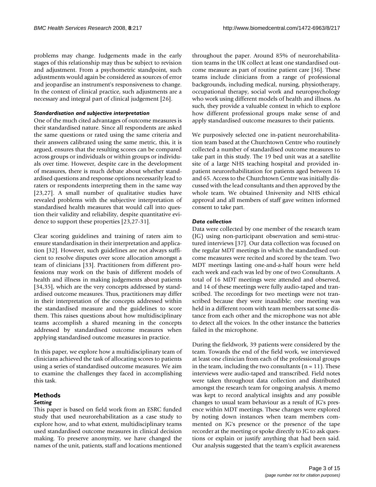problems may change. Judgements made in the early stages of this relationship may thus be subject to revision and adjustment. From a psychometric standpoint, such adjustments would again be considered as sources of error and jeopardise an instrument's responsiveness to change. In the context of clinical practice, such adjustments are a necessary and integral part of clinical judgement [26].

#### *Standardisation and subjective interpretation*

One of the much cited advantages of outcome measures is their standardised nature. Since all respondents are asked the same questions or rated using the same criteria and their answers calibrated using the same metric, this, it is argued, ensures that the resulting scores can be compared across groups or individuals or within groups or individuals over time. However, despite care in the development of measures, there is much debate about whether standardised questions and response options necessarily lead to raters or respondents interpreting them in the same way [23,27]. A small number of qualitative studies have revealed problems with the subjective interpretation of standardised health measures that would call into question their validity and reliability, despite quantitative evidence to support these properties [23,27-31].

Clear scoring guidelines and training of raters aim to ensure standardisation in their interpretation and application [32]. However, such guidelines are not always sufficient to resolve disputes over score allocation amongst a team of clinicians [33]. Practitioners from different professions may work on the basis of different models of health and illness in making judgements about patients [34,35], which are the very concepts addressed by standardised outcome measures. Thus, practitioners may differ in their interpretation of the concepts addressed within the standardised measure and the guidelines to score them. This raises questions about how multidisciplinary teams accomplish a shared meaning in the concepts addressed by standardised outcome measures when applying standardised outcome measures in practice.

In this paper, we explore how a multidisciplinary team of clinicians achieved the task of allocating scores to patients using a series of standardised outcome measures. We aim to examine the challenges they faced in accomplishing this task.

#### **Methods** *Setting*

This paper is based on field work from an ESRC funded study that used neurorehabilitation as a case study to explore how, and to what extent, multidisciplinary teams used standardised outcome measures in clinical decision making. To preserve anonymity, we have changed the names of the unit, patients, staff and locations mentioned

throughout the paper. Around 85% of neurorehabilitation teams in the UK collect at least one standardised outcome measure as part of routine patient care [36]. These teams include clinicians from a range of professional backgrounds, including medical, nursing, physiotherapy, occupational therapy, social work and neuropsychology who work using different models of health and illness. As such, they provide a valuable context in which to explore how different professional groups make sense of and apply standardised outcome measures to their patients.

We purposively selected one in-patient neurorehabilitation team based at the Churchtown Centre who routinely collected a number of standardised outcome measures to take part in this study. The 19 bed unit was at a satellite site of a large NHS teaching hospital and provided inpatient neurorehabilitation for patients aged between 16 and 65. Access to the Churchtown Centre was initially discussed with the lead consultants and then approved by the whole team. We obtained University and NHS ethical approval and all members of staff gave written informed consent to take part.

#### *Data collection*

Data were collected by one member of the research team (JG) using non-participant observation and semi-structured interviews [37]. Our data collection was focused on the regular MDT meetings in which the standardised outcome measures were recited and scored by the team. Two MDT meetings lasting one-and-a-half hours were held each week and each was led by one of two Consultants. A total of 16 MDT meetings were attended and observed, and 14 of these meetings were fully audio-taped and transcribed. The recordings for two meetings were not transcribed because they were inaudible; one meeting was held in a different room with team members sat some distance from each other and the microphone was not able to detect all the voices. In the other instance the batteries failed in the microphone.

During the fieldwork, 39 patients were considered by the team. Towards the end of the field work, we interviewed at least one clinician from each of the professional groups in the team, including the two consultants  $(n = 11)$ . These interviews were audio-taped and transcribed. Field notes were taken throughout data collection and distributed amongst the research team for ongoing analysis. A memo was kept to record analytical insights and any possible changes to usual team behaviour as a result of JG's presence within MDT meetings. These changes were explored by noting down instances when team members commented on JG's presence or the presence of the tape recorder at the meeting or spoke directly to JG to ask questions or explain or justify anything that had been said. Our analysis suggested that the team's explicit awareness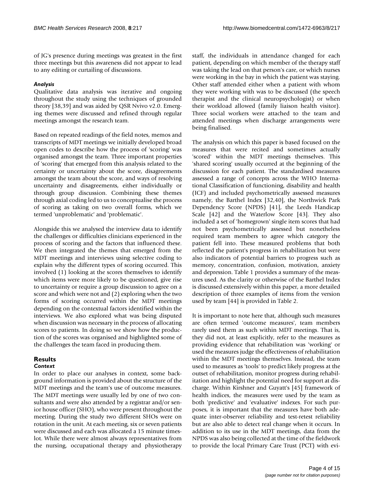of JG's presence during meetings was greatest in the first three meetings but this awareness did not appear to lead to any editing or curtailing of discussions.

#### *Analysis*

Qualitative data analysis was iterative and ongoing throughout the study using the techniques of grounded theory [38,39] and was aided by QSR Nvivo v2.0. Emerging themes were discussed and refined through regular meetings amongst the research team.

Based on repeated readings of the field notes, memos and transcripts of MDT meetings we initially developed broad open codes to describe how the process of 'scoring' was organised amongst the team. Three important properties of 'scoring' that emerged from this analysis related to the certainty or uncertainty about the score, disagreements amongst the team about the score, and ways of resolving uncertainty and disagreements, either individually or through group discussion. Combining these themes through axial coding led to us to conceptualise the process of scoring as taking on two overall forms, which we termed 'unproblematic' and 'problematic'.

Alongside this we analysed the interview data to identify the challenges or difficulties clinicians experienced in the process of scoring and the factors that influenced these. We then integrated the themes that emerged from the MDT meetings and interviews using selective coding to explain why the different types of scoring occurred. This involved (1) looking at the scores themselves to identify which items were more likely to be questioned, give rise to uncertainty or require a group discussion to agree on a score and which were not and (2) exploring when the two forms of scoring occurred within the MDT meetings depending on the contextual factors identified within the interviews. We also explored what was being disputed when discussion was necessary in the process of allocating scores to patients. In doing so we show how the production of the scores was organised and highlighted some of the challenges the team faced in producing them.

#### **Results**

#### *Context*

In order to place our analyses in context, some background information is provided about the structure of the MDT meetings and the team's use of outcome measures. The MDT meetings were usually led by one of two consultants and were also attended by a registrar and/or senior house officer (SHO), who were present throughout the meeting. During the study two different SHOs were on rotation in the unit. At each meeting, six or seven patients were discussed and each was allocated a 15 minute timeslot. While there were almost always representatives from the nursing, occupational therapy and physiotherapy staff, the individuals in attendance changed for each patient, depending on which member of the therapy staff was taking the lead on that person's care, or which nurses were working in the bay in which the patient was staying. Other staff attended either when a patient with whom they were working with was to be discussed (the speech therapist and the clinical neuropsychologist) or when their workload allowed (family liaison health visitor). Three social workers were attached to the team and attended meetings when discharge arrangements were being finalised.

The analysis on which this paper is based focused on the measures that were recited and sometimes actually 'scored' within the MDT meetings themselves. This 'shared scoring' usually occurred at the beginning of the discussion for each patient. The standardised measures assessed a range of concepts across the WHO International Classification of functioning, disability and health (ICF) and included psychometrically assessed measures namely, the Barthel Index [32,40], the Northwick Park Dependency Score (NPDS) [41], the Leeds Handicap Scale [42] and the Waterlow Score [43]. They also included a set of 'homegrown' single item scores that had not been psychometrically assessed but nonetheless required team members to agree which category the patient fell into. These measured problems that both reflected the patient's progress in rehabilitation but were also indicators of potential barriers to progress such as memory, concentration, confusion, motivation, anxiety and depression. Table 1 provides a summary of the measures used. As the clarity or otherwise of the Barthel Index is discussed extensively within this paper, a more detailed description of three examples of items from the version used by team [44] is provided in Table 2.

It is important to note here that, although such measures are often termed 'outcome measures', team members rarely used them as such within MDT meetings. That is, they did not, at least explicitly, refer to the measures as providing evidence that rehabilitation was 'working' or used the measures judge the effectiveness of rehabilitation within the MDT meetings themselves. Instead, the team used to measures as 'tools' to predict likely progress at the outset of rehabilitation, monitor progress during rehabilitation and highlight the potential need for support at discharge. Within Kirshner and Guyatt's [45] framework of health indices, the measures were used by the team as both 'predictive' and 'evaluative' indexes. For such purposes, it is important that the measures have both adequate inter-observer reliability and test-retest reliability but are also able to detect real change when it occurs. In addition to its use in the MDT meetings, data from the NPDS was also being collected at the time of the fieldwork to provide the local Primary Care Trust (PCT) with evi-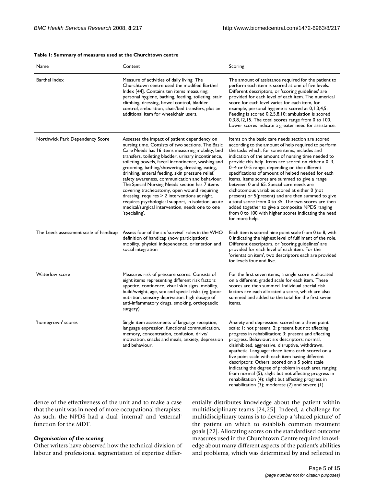| Name                                   | Content                                                                                                                                                                                                                                                                                                                                                                                                                                                                                                                                                                                                                                                                                                | Scoring                                                                                                                                                                                                                                                                                                                                                                                                                                                                                                                                                                                                                                                                                                                                                               |
|----------------------------------------|--------------------------------------------------------------------------------------------------------------------------------------------------------------------------------------------------------------------------------------------------------------------------------------------------------------------------------------------------------------------------------------------------------------------------------------------------------------------------------------------------------------------------------------------------------------------------------------------------------------------------------------------------------------------------------------------------------|-----------------------------------------------------------------------------------------------------------------------------------------------------------------------------------------------------------------------------------------------------------------------------------------------------------------------------------------------------------------------------------------------------------------------------------------------------------------------------------------------------------------------------------------------------------------------------------------------------------------------------------------------------------------------------------------------------------------------------------------------------------------------|
| <b>Barthel Index</b>                   | Measure of activities of daily living. The<br>Churchtown centre used the modified Barthel<br>Index [44]. Contains ten items measuring:<br>personal hygiene, bathing, feeding, toileting, stair<br>climbing, dressing, bowel control, bladder<br>control, ambulation, chair/bed transfers, plus an<br>additional item for wheelchair users.                                                                                                                                                                                                                                                                                                                                                             | The amount of assistance required for the patient to<br>perform each item is scored at one of five levels.<br>Different descriptors, or 'scoring guidelines' are<br>provided for each level of each item. The numerical<br>score for each level varies for each item, for<br>example, personal hygiene is scored at 0,1,3,4,5;<br>Feeding is scored 0,2,5,8,10; ambulation is scored<br>0,3,8,12,15. The total scores range from 0 to 100.<br>Lower scores indicate a greater need for assistance.                                                                                                                                                                                                                                                                    |
| Northwick Park Dependency Score        | Assesses the impact of patient dependency on<br>nursing time. Consists of two sections. The Basic<br>Care Needs has 16 items measuring mobility, bed<br>transfers, toileting bladder, urinary incontinence,<br>toileting bowels, faecal incontinence, washing and<br>grooming, bathing/showering, dressing, eating,<br>drinking, enteral feeding, skin pressure relief,<br>safety awareness, communication and behaviour.<br>The Special Nursing Needs section has 7 items<br>covering tracheostomy, open wound requiring<br>dressing, requires > 2 interventions at night,<br>requires psychological support, in isolation, acute<br>medical/surgical intervention, needs one to one<br>'specialing'. | Items on the basic care needs section are scored<br>according to the amount of help required to perform<br>the tasks which, for some items, includes and<br>indication of the amount of nursing time needed to<br>provide this help. Items are scored on either a 0-3,<br>0-4 or 0-5 range, depending on the different<br>specifications of amount of helped needed for each<br>items. Items scores are summed to give a range<br>between 0 and 65. Special care needs are<br>dichotomous variables scored at either 0 (not<br>present) or 5(present) and are then summed to give<br>a total score from 0 to 35. The two scores are then<br>added together to give a composite NPDS ranging<br>from 0 to 100 with higher scores indicating the need<br>for more help. |
| The Leeds assessment scale of handicap | Assess four of the six 'survival' roles in the WHO<br>definition of handicap (now participation):<br>mobility, physical independence, orientation and<br>social integration                                                                                                                                                                                                                                                                                                                                                                                                                                                                                                                            | Each item is scored nine point scale from 0 to 8, with<br>0 indicating the highest level of fulfilment of the role.<br>Different descriptors, or 'scoring guidelines' are<br>provided for each level of each item. For the<br>'orientation item', two descriptors each are provided<br>for levels four and five.                                                                                                                                                                                                                                                                                                                                                                                                                                                      |
| <b>Waterlow score</b>                  | Measures risk of pressure scores. Consists of<br>eight items representing different risk factors:<br>appetite, continence, visual skin signs, mobility,<br>build/weight, age, sex and special risks (eg (poor<br>nutrition, sensory deprivation, high dosage of<br>anti-inflammatory drugs, smoking, orthopaedic<br>surgery)                                                                                                                                                                                                                                                                                                                                                                           | For the first seven items, a single score is allocated<br>on a different, graded scale for each item. These<br>scores are then summed. Individual special risk<br>factors are each allocated a score, which are also<br>summed and added to the total for the first seven<br>items.                                                                                                                                                                                                                                                                                                                                                                                                                                                                                   |
| 'homegrown' scores                     | Single item assessments of language reception,<br>language expression, functional communication,<br>memory, concentration, confusion, drive/<br>motivation, snacks and meals, anxiety, depression<br>and behaviour.                                                                                                                                                                                                                                                                                                                                                                                                                                                                                    | Anxiety and depression: scored on a three point<br>scale: I: not present; 2: present but not affecting<br>progress in rehabilitation; 3: present and affecting<br>progress. Behaviour: six descriptors: normal,<br>disinhibited, aggressive, disruptive, withdrawn,<br>apathetic. Language: three items each scored on a<br>five point scale with each item having different<br>descriptors; Others: scored on a 5 point scale<br>indicating the degree of problem in each area ranging<br>from normal (5); slight but not affecting progress in<br>rehabilitation (4); slight but affecting progress in<br>rehabilitation (3); moderate (2) and severe (1).                                                                                                          |

#### **Table 1: Summary of measures used at the Churchtown centre**

dence of the effectiveness of the unit and to make a case that the unit was in need of more occupational therapists. As such, the NPDS had a dual 'internal' and 'external' function for the MDT.

#### *Organisation of the scoring*

Other writers have observed how the technical division of labour and professional segmentation of expertise differentially distributes knowledge about the patient within multidisciplinary teams [24,25]. Indeed, a challenge for multidisciplinary teams is to develop a 'shared picture' of the patient on which to establish common treatment goals [22]. Allocating scores on the standardised outcome measures used in the Churchtown Centre required knowledge about many different aspects of the patient's abilities and problems, which was determined by and reflected in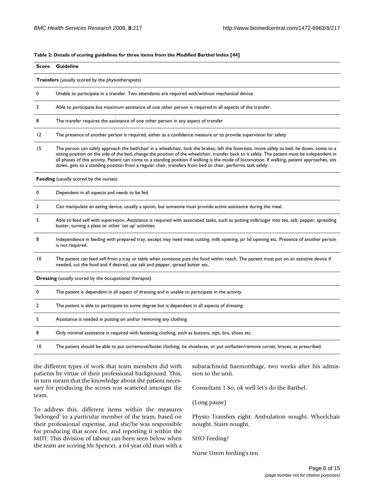#### **Table 2: Details of scoring guidelines for three items from the Modified Barthel Index [44]**

| <b>Guideline</b><br>Score                                                                                                                                                                                                                                                                                                                                                                                                                                                                                                                                     |  |  |
|---------------------------------------------------------------------------------------------------------------------------------------------------------------------------------------------------------------------------------------------------------------------------------------------------------------------------------------------------------------------------------------------------------------------------------------------------------------------------------------------------------------------------------------------------------------|--|--|
| <b>Transfers</b> (usually scored by the physiotherapists)                                                                                                                                                                                                                                                                                                                                                                                                                                                                                                     |  |  |
| Unable to participate in a transfer. Two attendants are required with/without mechanical device.                                                                                                                                                                                                                                                                                                                                                                                                                                                              |  |  |
| Able to participate but maximum assistance of one other person is required in all aspects of the transfer.                                                                                                                                                                                                                                                                                                                                                                                                                                                    |  |  |
| The transfer requires the assistance of one other person in any aspect of transfer                                                                                                                                                                                                                                                                                                                                                                                                                                                                            |  |  |
| The presence of another person is required, either as a confidence measure or to provide supervision for safety                                                                                                                                                                                                                                                                                                                                                                                                                                               |  |  |
| The person can safely approach the bed/chair in a wheelchair, lock the brakes, left the footrests, move safely to bed, lie down, come to a<br>sitting position on the side of the bed, change the position of the wheelchair, transfer back to it safely. The patient must be independent in<br>all phases of this activity. Patient can come to a standing position if walking is the mode of locomotion. If walking, patient approaches, sits<br>down, gets to a standing position from a regular chair, transfers from bed to chair, performs task safely. |  |  |
| Feeding (usually scored by the nurses)                                                                                                                                                                                                                                                                                                                                                                                                                                                                                                                        |  |  |
| Dependent in all aspects and needs to be fed.                                                                                                                                                                                                                                                                                                                                                                                                                                                                                                                 |  |  |
| Can manipulate an eating device, usually a spoon, but someone must provide active assistance during the meal.                                                                                                                                                                                                                                                                                                                                                                                                                                                 |  |  |
| Able to feed self with supervision. Assistance is required with associated tasks, such as putting milk/sugar into tea, salt, pepper, spreading<br>butter, turning a plate or other 'set up' activities.                                                                                                                                                                                                                                                                                                                                                       |  |  |
| Independence in feeding with prepared tray, except may need meat cutting, milk opening, jar lid opening etc. Presence of another person<br>is not required.                                                                                                                                                                                                                                                                                                                                                                                                   |  |  |
| The patient can feed self from a tray or table when someone puts the food within reach. The patient must put on an assistive device if<br>needed, cut the food and if desired, use salt and pepper, spread butter etc.                                                                                                                                                                                                                                                                                                                                        |  |  |
| <b>Dressing</b> (usually scored by the occupational therapist)                                                                                                                                                                                                                                                                                                                                                                                                                                                                                                |  |  |
| The patient is dependent in all aspect of dressing and is unable to participate in the activity.                                                                                                                                                                                                                                                                                                                                                                                                                                                              |  |  |
| The patient is able to participate to some degree but is dependent in all aspects of dressing.                                                                                                                                                                                                                                                                                                                                                                                                                                                                |  |  |
| Assistance is needed in putting on and/or removing any clothing                                                                                                                                                                                                                                                                                                                                                                                                                                                                                               |  |  |
| Only minimal assistance is required with fastening clothing, such as buttons, zips, bra, shoes etc.                                                                                                                                                                                                                                                                                                                                                                                                                                                           |  |  |
| The patient should be able to put on/remove/fasten clothing, tie shoelaces, or put on/fasten/remove corset, braces, as prescribed.                                                                                                                                                                                                                                                                                                                                                                                                                            |  |  |
|                                                                                                                                                                                                                                                                                                                                                                                                                                                                                                                                                               |  |  |

the different types of work that team members did with patients by virtue of their professional background. This, in turn meant that the knowledge about the patient necessary for producing the scores was scattered amongst the team.

subarachnoid haemorrhage, two weeks after his admission to the unit.

Consultant 1 So, ok well let's do the Barthel.

(Long pause)

To address this, different items within the measures 'belonged' to a particular member of the team, based on their professional expertise, and she/he was responsible for producing that score for, and reporting it within the MDT. This division of labour can been seen below when the team are scoring Mr Spencer, a 64 year old man with a

Physio Transfers eight. Ambulation nought. Wheelchair nought. Stairs nought.

SHO Feeding?

Nurse Umm feeding's ten.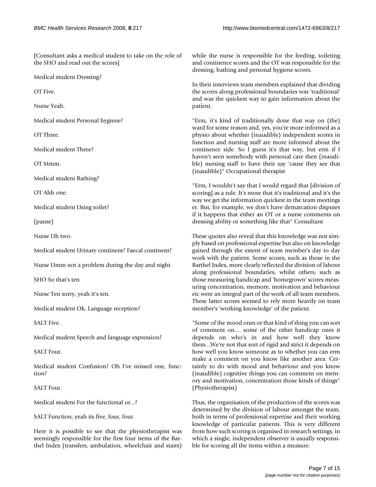[Consultant asks a medical student to take on the role of the SHO and read out the scores]

Medical student Dressing?

OT Five.

Nurse Yeah.

Medical student Personal hygiene?

OT Three.

Medical student Three?

OT Mmm.

Medical student Bathing?

OT Ahh one.

Medical student Using toilet?

(pause)

Nurse Uh two.

Medical student Urinary continent? Faecal continent?

Nurse Umm not a problem during the day and night.

SHO So that's ten

Nurse Ten sorry, yeah it's ten.

Medical student Ok. Language reception?

SALT Five.

Medical student Speech and language expression?

SALT Four.

Medical student Confusion? Oh I've missed one, function?

SALT Four.

Medical student For the functional or...?

SALT Function, yeah its five, four, four.

Here it is possible to see that the physiotherapist was seemingly responsible for the first four items of the Barthel Index (transfers, ambulation, wheelchair and stairs)

while the nurse is responsible for the feeding, toileting and continence scores and the OT was responsible for the dressing, bathing and personal hygiene scores.

In their interviews team members explained that dividing the scores along professional boundaries was 'traditional' and was the quickest way to gain information about the patient.

"Erm, it's kind of traditionally done that way on (the) ward for some reason and, yes, you're more informed as a physio about whether (inaudible) independent scores in function and nursing staff are more informed about the continence side. So I guess it's that way, but erm if I haven't seen somebody with personal care then (inaudible) nursing staff to have their say 'cause they see that (inaudible)" Occupational therapist

"Erm, I wouldn't say that I would regard that [division of scoring] as a rule. It's more that it's traditional and it's the way we get the information quickest in the team meetings er. But, for example, we don't have demarcation disputes if it happens that either an OT or a nurse comments on dressing ability or something like that" Consultant

These quotes also reveal that this knowledge was not simply based on professional expertise but also on knowledge gained through the extent of team member's day to day work with the patient. Some scores, such as those in the Barthel Index, more clearly reflected the division of labour along professional boundaries, whilst others, such as those measuring handicap and 'homegrown' scores measuring concentration, memory, motivation and behaviour etc were an integral part of the work of all team members. These latter scores seemed to rely more heavily on team member's 'working knowledge' of the patient.

"Some of the mood ones or that kind of thing you can sort of comment on.... some of the other handicap ones it depends on who's in and how well they know them...We're not that sort of rigid and strict it depends on how well you know someone as to whether you can erm make a comment on you know like another area. Certainly to do with mood and behaviour and you know (inaudible) cognitive things you can comment on memory and motivation, concentration those kinds of things" (Physiotherapist)

Thus, the organisation of the production of the scores was determined by the division of labour amongst the team, both in terms of professional expertise and their working knowledge of particular patients. This is very different from how such scoring is organised in research settings, in which a single, independent observer is usually responsible for scoring all the items within a measure.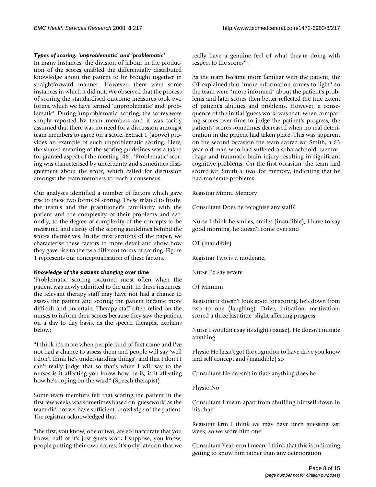#### *Types of scoring: 'unproblematic' and 'problematic'*

In many instances, the division of labour in the production of the scores enabled the differentially distributed knowledge about the patient to be brought together in straightforward manner. However, there were some instances in which it did not. We observed that the process of scoring the standardised outcome measures took two forms, which we have termed 'unproblematic' and 'problematic'. During 'unproblematic' scoring, the scores were simply reported by team members and it was tacitly assumed that there was no need for a discussion amongst team members to agree on a score. Extract 1 (above) provides an example of such unproblematic scoring. Here, the shared meaning of the scoring guidelines was a taken for granted aspect of the meeting [46]. 'Problematic' scoring was characterised by uncertainty and sometimes disagreement about the score, which called for discussion amongst the team members to reach a consensus.

Our analyses identified a number of factors which gave rise to these two forms of scoring. These related to firstly, the team's and the practitioner's familiarity with the patient and the complexity of their problems and secondly, to the degree of complexity of the concepts to be measured and clarity of the scoring guidelines behind the scores themselves. In the next sections of the paper, we characterise these factors in more detail and show how they gave rise to the two different forms of scoring. Figure 1 represents our conceptualisation of these factors.

#### *Knowledge of the patient changing over time*

'Problematic' scoring occurred most often when the patient was newly admitted to the unit. In these instances, the relevant therapy staff may have not had a chance to assess the patient and scoring the patient became more difficult and uncertain. Therapy staff often relied on the nurses to inform their scores because they saw the patient on a day to day basis, as the speech therapist explains below:

"I think it's more when people kind of first come and I've not had a chance to assess them and people will say 'well I don't think he's understanding things', and that I don't I can't really judge that so that's when I will say to the nurses is it affecting you know how he is, is it affecting how he's coping on the ward" (Speech therapist)

Some team members felt that scoring the patient in the first few weeks was sometimes based on 'guesswork' as the team did not yet have sufficient knowledge of the patient. The registrar acknowledged that

"the first, you know, one or two, are so inaccurate that you know, half of it's just guess work I suppose, you know, people putting their own scores, it's only later on that we really have a genuine feel of what they're doing with respect to the scores".

As the team became more familiar with the patient, the OT explained that "more information comes to light" so the team were "more informed" about the patient's problems and later scores then better reflected the true extent of patient's abilities and problems. However, a consequence of the initial 'guess work' was that, when comparing scores over time to judge the patient's progress, the patients' scores sometimes decreased when no real deterioration in the patient had taken place. This was apparent on the second occasion the team scored Mr Smith, a 63 year old man who had suffered a subarachnoid haemorrhage and traumatic brain injury resulting in significant cognitive problems. On the first occasion, the team had scored Mr. Smith a 'two' for memory, indicating that he had moderate problems.

Registrar Mmm. Memory

Consultant Does he recognise any staff?

Nurse I think he smiles, smiles (inaudible), I have to say good morning, he doesn't come over and

OT (inaudible)

Registrar Two is it moderate,

Nurse I'd say severe

OT Mmmm

Registrar It doesn't look good for scoring, he's down from two to one (laughing). Drive, initiation, motivation, scored a three last time, slight affecting progress

Nurse I wouldn't say its slight (pause). He doesn't initiate anything

Physio He hasn't got the cognition to have drive you know and self concept and (inaudible) so

Consultant He doesn't initiate anything does he

Physio No.

Consultant I mean apart from shuffling himself down in his chair

Registrar Erm I think we may have been guessing last week, so we score him one

Consultant Yeah erm I mean, I think that this is indicating getting to know him rather than any deterioration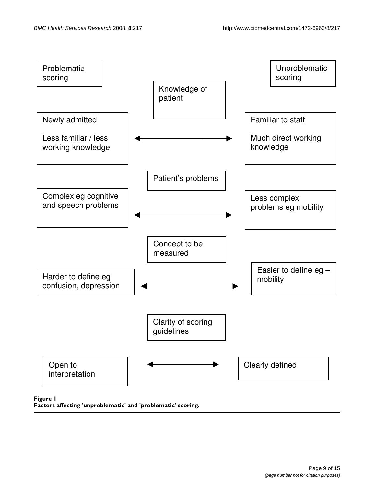

**Factors affecting 'unproblematic' and 'problematic' scoring.**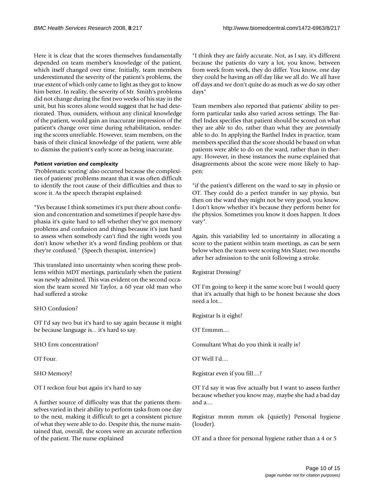Here it is clear that the scores themselves fundamentally depended on team member's knowledge of the patient, which itself changed over time. Initially, team members underestimated the severity of the patient's problems, the true extent of which only came to light as they got to know him better. In reality, the severity of Mr. Smith's problems did not change during the first two weeks of his stay in the unit, but his scores alone would suggest that he had deteriorated. Thus, outsiders, without any clinical knowledge of the patient, would gain an inaccurate impression of the patient's change over time during rehabilitation, rendering the scores unreliable. However, team members, on the basis of their clinical knowledge of the patient, were able to dismiss the patient's early score as being inaccurate.

#### *Patient variation and complexity*

'Problematic scoring' also occurred because the complexities of patients' problems meant that it was often difficult to identify the root cause of their difficulties and thus to score it. As the speech therapist explained:

"Yes because I think sometimes it's put there about confusion and concentration and sometimes if people have dysphasia it's quite hard to tell whether they've got memory problems and confusion and things because it's just hard to assess when somebody can't find the right words you don't know whether it's a word finding problem or that they're confused." (Speech therapist, interview)

This translated into uncertainty when scoring these problems within MDT meetings, particularly when the patient was newly admitted. This was evident on the second occasion the team scored Mr Taylor, a 60 year old man who had suffered a stroke

#### SHO Confusion?

OT I'd say two but it's hard to say again because it might be because language is... it's hard to say.

SHO Erm concentration?

OT Four.

SHO Memory?

OT I reckon four but again it's hard to say

A further source of difficulty was that the patients themselves varied in their ability to perform tasks from one day to the next, making it difficult to get a consistent picture of what they were able to do. Despite this, the nurse maintained that, overall, the scores were an accurate reflection of the patient. The nurse explained

"I think they are fairly accurate. Not, as I say, it's different because the patients do vary a lot, you know, between from week from week, they do differ. You know, one day they could be having an off day like we all do. We all have off days and we don't quite do as much as we do say other days"

Team members also reported that patients' ability to perform particular tasks also varied across settings. The Barthel Index specifies that patient should be scored on what they are *able* to do, rather than what they are *potentially* able to do. In applying the Barthel Index in practice, team members specified that the score should be based on what patients were able to do on the ward, rather than in therapy. However, in these instances the nurse explained that disagreements about the score were more likely to happen:

"if the patient's different on the ward to say in physio or OT. They could do a perfect transfer in say physio, but then on the ward they might not be very good, you know. I don't know whether it's because they perform better for the physios. Sometimes you know it does happen. It does vary".

Again, this variability led to uncertainty in allocating a score to the patient within team meetings, as can be seen below when the team were scoring Mrs Slater, two months after her admission to the unit following a stroke.

Registrar Dressing?

OT I'm going to keep it the same score but I would query that it's actually that high to be honest because she does need a lot...

Registrar Is it eight?

OT Ermmm....

Consultant What do you think it really is?

OT Well I'd....

Registrar even if you fill....?

OT I'd say it was five actually but I want to assess further because whether you know may, maybe she had a bad day and a....

Registrar mmm mmm ok (quietly) Personal hygiene (louder).

OT and a three for personal hygiene rather than a 4 or 5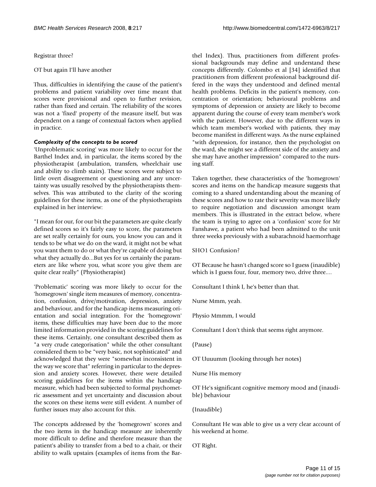Registrar three?

OT but again I'll have another

Thus, difficulties in identifying the cause of the patient's problems and patient variability over time meant that scores were provisional and open to further revision, rather than fixed and certain. The reliability of the scores was not a 'fixed' property of the measure itself, but was dependent on a range of contextual factors when applied in practice.

#### *Complexity of the concepts to be scored*

'Unproblematic scoring' was more likely to occur for the Barthel Index and, in particular, the items scored by the physiotherapist (ambulation, transfers, wheelchair use and ability to climb stairs). These scores were subject to little overt disagreement or questioning and any uncertainty was usually resolved by the physiotherapists themselves. This was attributed to the clarity of the scoring guidelines for these items, as one of the physiotherapists explained in her interview:

"I mean for our, for our bit the parameters are quite clearly defined scores so it's fairly easy to score, the parameters are set really certainly for ours, you know you can and it tends to be what we do on the ward, it might not be what you want them to do or what they're capable of doing but what they actually do...But yes for us certainly the parameters are like where you, what score you give them are quite clear really" (Physiotherapist)

'Problematic' scoring was more likely to occur for the 'homegrown' single item measures of memory, concentration, confusion, drive/motivation, depression, anxiety and behaviour, and for the handicap items measuring orientation and social integration. For the 'homegrown' items, these difficulties may have been due to the more limited information provided in the scoring guidelines for these items. Certainly, one consultant described them as "a very crude categorisation" while the other consultant considered them to be "very basic, not sophisticated" and acknowledged that they were "somewhat inconsistent in the way we score that" referring in particular to the depression and anxiety scores. However, there were detailed scoring guidelines for the items within the handicap measure, which had been subjected to formal psychometric assessment and yet uncertainty and discussion about the scores on these items were still evident. A number of further issues may also account for this.

The concepts addressed by the 'homegrown' scores and the two items in the handicap measure are inherently more difficult to define and therefore measure than the patient's ability to transfer from a bed to a chair, or their ability to walk upstairs (examples of items from the Barthel Index). Thus, practitioners from different professional backgrounds may define and understand these concepts differently. Colombo et al [34] identified that practitioners from different professional background differed in the ways they understood and defined mental health problems. Deficits in the patient's memory, concentration or orientation; behavioural problems and symptoms of depression or anxiety are likely to become apparent during the course of every team member's work with the patient. However, due to the different ways in which team member's worked with patients, they may become manifest in different ways. As the nurse explained "with depression, for instance, then the psychologist on the ward, she might see a different side of the anxiety and she may have another impression" compared to the nursing staff.

Taken together, these characteristics of the 'homegrown' scores and items on the handicap measure suggests that coming to a shared understanding about the meaning of these scores and how to rate their severity was more likely to require negotiation and discussion amongst team members. This is illustrated in the extract below, where the team is trying to agree on a 'confusion' score for Mr Fanshawe, a patient who had been admitted to the unit three weeks previously with a subarachnoid haemorrhage

#### SHO1 Confusion?

OT Because he hasn't changed score so I guess (inaudible) which is I guess four, four, memory two, drive three....

Consultant I think I, he's better than that.

Nurse Mmm, yeah.

Physio Mmmm, I would

Consultant I don't think that seems right anymore.

(Pause)

OT Uuuumm (looking through her notes)

Nurse His memory

OT He's significant cognitive memory mood and (inaudible) behaviour

(Inaudible)

Consultant He was able to give us a very clear account of his weekend at home.

OT Right.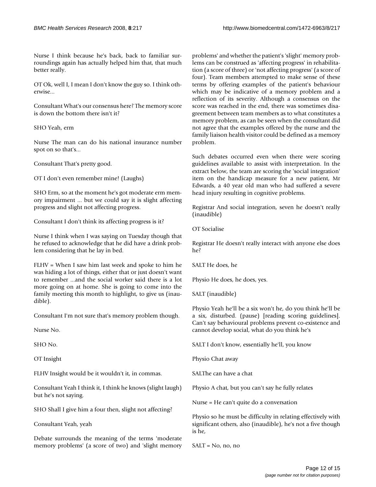Nurse I think because he's back, back to familiar surroundings again has actually helped him that, that much better really.

OT Ok, well I, I mean I don't know the guy so. I think otherwise...

Consultant What's our consensus here? The memory score is down the bottom there isn't it?

SHO Yeah, erm

Nurse The man can do his national insurance number spot on so that's...

Consultant That's pretty good.

OT I don't even remember mine! (Laughs)

SHO Erm, so at the moment he's got moderate erm memory impairment ... but we could say it is slight affecting progress and slight not affecting progress.

Consultant I don't think its affecting progress is it?

Nurse I think when I was saying on Tuesday though that he refused to acknowledge that he did have a drink problem considering that he lay in bed.

FLHV = When I saw him last week and spoke to him he was hiding a lot of things, either that or just doesn't want to remember ...and the social worker said there is a lot more going on at home. She is going to come into the family meeting this month to highlight, to give us (inaudible).

Consultant I'm not sure that's memory problem though.

Nurse No.

SHO No.

OT Insight

FLHV Insight would be it wouldn't it, in commas.

Consultant Yeah I think it, I think he knows (slight laugh) but he's not saying.

SHO Shall I give him a four then, slight not affecting?

Consultant Yeah, yeah

Debate surrounds the meaning of the terms 'moderate memory problems' (a score of two) and 'slight memory problems' and whether the patient's 'slight' memory problems can be construed as 'affecting progress' in rehabilitation (a score of three) or 'not affecting progress' (a score of four). Team members attempted to make sense of these terms by offering examples of the patient's behaviour which may be indicative of a memory problem and a reflection of its severity. Although a consensus on the score was reached in the end, there was sometimes disagreement between team members as to what constitutes a memory problem, as can be seen when the consultant did not agree that the examples offered by the nurse and the family liaison health visitor could be defined as a memory problem.

Such debates occurred even when there were scoring guidelines available to assist with interpretation. In the extract below, the team are scoring the 'social integration' item on the handicap measure for a new patient, Mr Edwards, a 40 year old man who had suffered a severe head injury resulting in cognitive problems.

Registrar And social integration, seven he doesn't really (inaudible)

OT Socialise

Registrar He doesn't really interact with anyone else does he?

SALT He does, he

Physio He does, he does, yes.

SALT (inaudible)

Physio Yeah he'll be a six won't he, do you think he'll be a six, disturbed. (pause) [reading scoring guidelines]. Can't say behavioural problems prevent co-existence and cannot develop social, what do you think he's

SALT I don't know, essentially he'll, you know

Physio Chat away

SALThe can have a chat

Physio A chat, but you can't say he fully relates

Nurse = He can't quite do a conversation

Physio so he must be difficulty in relating effectively with significant others, also (inaudible), he's not a five though is he,

 $SALT = No$ , no, no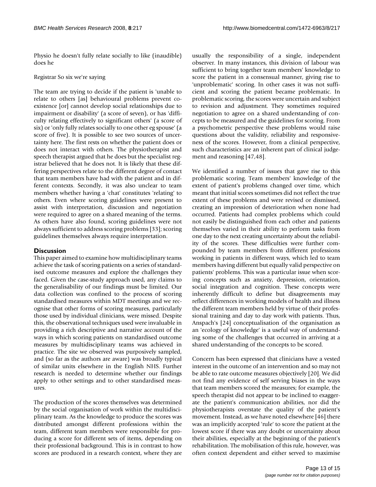Physio he doesn't fully relate socially to like (inaudible) does he

#### Registrar So six we're saying

The team are trying to decide if the patient is 'unable to relate to others [as] behavioural problems prevent coexistence [or] cannot develop social relationships due to impairment or disability' (a score of seven), or has 'difficulty relating effectively to significant others' (a score of six) or 'only fully relates socially to one other eg spouse' (a score of five). It is possible to see two sources of uncertainty here. The first rests on whether the patient does or does not interact with others. The physiotherapist and speech therapist argued that he does but the specialist registrar believed that he does not. It is likely that these differing perspectives relate to the different degree of contact that team members have had with the patient and in different contexts. Secondly, it was also unclear to team members whether having a 'chat' constitutes 'relating' to others. Even where scoring guidelines were present to assist with interpretation, discussion and negotiation were required to agree on a shared meaning of the terms. As others have also found, scoring guidelines were not always sufficient to address scoring problems [33]; scoring guidelines themselves always require interpretation.

#### **Discussion**

This paper aimed to examine how multidisciplinary teams achieve the task of scoring patients on a series of standardised outcome measures and explore the challenges they faced. Given the case-study approach used, any claims to the generalisability of our findings must be limited. Our data collection was confined to the process of scoring standardised measures within MDT meetings and we recognise that other forms of scoring measures, particularly those used by individual clinicians, were missed. Despite this, the observational techniques used were invaluable in providing a rich descriptive and narrative account of the ways in which scoring patients on standardised outcome measures by multidisciplinary teams was achieved in practice. The site we observed was purposively sampled, and (so far as the authors are aware) was broadly typical of similar units elsewhere in the English NHS. Further research is needed to determine whether our findings apply to other settings and to other standardised measures.

The production of the scores themselves was determined by the social organisation of work within the multidisciplinary team. As the knowledge to produce the scores was distributed amongst different professions within the team, different team members were responsible for producing a score for different sets of items, depending on their professional background. This is in contrast to how scores are produced in a research context, where they are usually the responsibility of a single, independent observer. In many instances, this division of labour was sufficient to bring together team members' knowledge to score the patient in a consensual manner, giving rise to 'unproblematic' scoring. In other cases it was not sufficient and scoring the patient became problematic. In problematic scoring, the scores were uncertain and subject to revision and adjustment. They sometimes required negotiation to agree on a shared understanding of concepts to be measured and the guidelines for scoring. From a psychometric perspective these problems would raise questions about the validity, reliability and responsiveness of the scores. However, from a clinical perspective, such characteristics are an inherent part of clinical judgement and reasoning [47,48].

We identified a number of issues that gave rise to this problematic scoring. Team members' knowledge of the extent of patient's problems changed over time, which meant that initial scores sometimes did not reflect the true extent of these problems and were revised or dismissed, creating an impression of deterioration when none had occurred. Patients had complex problems which could not easily be distinguished from each other and patients themselves varied in their ability to perform tasks from one day to the next creating uncertainty about the reliability of the scores. These difficulties were further compounded by team members from different professions working in patients in different ways, which led to team members having different but equally valid perspective on patients' problems. This was a particular issue when scoring concepts such as anxiety, depression, orientation, social integration and cognition. These concepts were inherently difficult to define but disagreements may reflect differences in working models of health and illness the different team members held by virtue of their professional training and day to day work with patients. Thus, Anspach's [24] conceptualisation of the organisation as an 'ecology of knowledge' is a useful way of understanding some of the challenges that occurred in arriving at a shared understanding of the concepts to be scored.

Concern has been expressed that clinicians have a vested interest in the outcome of an intervention and so may not be able to rate outcome measures objectively [20]. We did not find any evidence of self serving biases in the ways that team members scored the measures; for example, the speech therapist did not appear to be inclined to exaggerate the patient's communication abilities, nor did the physiotherapists overstate the quality of the patient's movement. Instead, as we have noted elsewhere [46] there was an implicitly accepted 'rule' to score the patient at the lowest score if there was any doubt or uncertainty about their abilities, especially at the beginning of the patient's rehabilitation. The mobilisation of this rule, however, was often context dependent and either served to maximise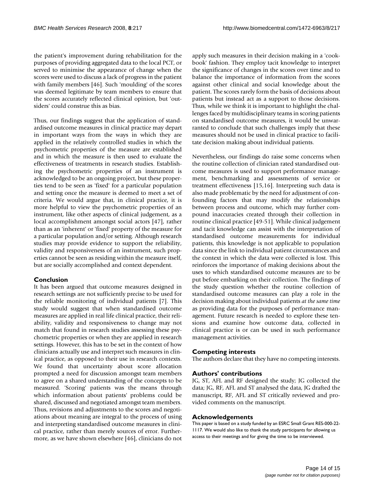the patient's improvement during rehabilitation for the purposes of providing aggregated data to the local PCT, or served to minimise the appearance of change when the scores were used to discuss a lack of progress in the patient with family members [46]. Such 'moulding' of the scores was deemed legitimate by team members to ensure that the scores accurately reflected clinical opinion, but 'outsiders' could construe this as bias.

Thus, our findings suggest that the application of standardised outcome measures in clinical practice may depart in important ways from the ways in which they are applied in the relatively controlled studies in which the psychometric properties of the measure are established and in which the measure is then used to evaluate the effectiveness of treatments in research studies. Establishing the psychometric properties of an instrument is acknowledged to be an ongoing project, but these properties tend to be seen as 'fixed' for a particular population and setting once the measure is deemed to meet a set of criteria. We would argue that, in clinical practice, it is more helpful to view the psychometric properties of an instrument, like other aspects of clinical judgement, as a local accomplishment amongst social actors [47], rather than as an 'inherent' or 'fixed' property of the measure for a particular population and/or setting. Although research studies may provide evidence to support the reliability, validity and responsiveness of an instrument, such properties cannot be seen as residing within the measure itself, but are socially accomplished and context dependent.

#### **Conclusion**

It has been argued that outcome measures designed in research settings are not sufficiently precise to be used for the reliable monitoring of individual patients [7]. This study would suggest that when standardised outcome measures are applied in real life clinical practice, their reliability, validity and responsiveness to change may not match that found in research studies assessing these psychometric properties or when they are applied in research settings. However, this has to be set in the context of how clinicians actually use and interpret such measures in clinical practice, as opposed to their use in research contexts. We found that uncertainty about score allocation prompted a need for discussion amongst team members to agree on a shared understanding of the concepts to be measured. 'Scoring' patients was the means through which information about patients' problems could be shared, discussed and negotiated amongst team members. Thus, revisions and adjustments to the scores and negotiations about meaning are integral to the process of using and interpreting standardised outcome measures in clinical practice, rather than merely sources of error. Furthermore, as we have shown elsewhere [46], clinicians do not apply such measures in their decision making in a 'cookbook' fashion. They employ tacit knowledge to interpret the significance of changes in the scores over time and to balance the importance of information from the scores against other clinical and social knowledge about the patient. The scores rarely form the basis of decisions about patients but instead act as a support to those decisions. Thus, while we think it is important to highlight the challenges faced by multidisciplinary teams in scoring patients on standardised outcome measures, it would be unwarranted to conclude that such challenges imply that these measures should not be used in clinical practice to facilitate decision making about individual patients.

Nevertheless, our findings do raise some concerns when the routine collection of clinician rated standardised outcome measures is used to support performance management, benchmarking and assessments of service or treatment effectiveness [15,16]. Interpreting such data is also made problematic by the need for adjustment of confounding factors that may modify the relationships between process and outcome, which may further compound inaccuracies created through their collection in routine clinical practice [49-51]. While clinical judgement and tacit knowledge can assist with the interpretation of standardised outcome measurements for individual patients, this knowledge is not applicable to population data since the link to individual patient circumstances and the context in which the data were collected is lost. This reinforces the importance of making decisions about the uses to which standardised outcome measures are to be put before embarking on their collection. The findings of the study question whether the routine collection of standardised outcome measures can play a role in the decision making about individual patients *at the same time* as providing data for the purposes of performance management. Future research is needed to explore these tensions and examine how outcome data, collected in clinical practice is or can be used in such performance management activities.

#### **Competing interests**

The authors declare that they have no competing interests.

#### **Authors' contributions**

JG, ST, AFL and RF designed the study; JG collected the data; JG, RF, AFL and ST analysed the data, JG drafted the manuscript, RF, AFL and ST critically reviewed and provided comments on the manuscript.

#### **Acknowledgements**

This paper is based on a study funded by an ESRC Small Grant RES-000-22- 1117. We would also like to thank the study participants for allowing us access to their meetings and for giving the time to be interviewed.